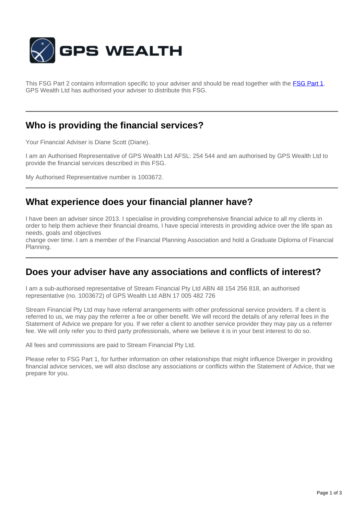

This FSG Part 2 contains information specific to your adviser and should be read together with the **[FSG Part 1](http://www.gpswealth.net.au/gps-test/site/GPS-FSG.pdf)**. GPS Wealth Ltd has authorised your adviser to distribute this FSG.

### **Who is providing the financial services?**

Your Financial Adviser is Diane Scott (Diane).

I am an Authorised Representative of GPS Wealth Ltd AFSL: 254 544 and am authorised by GPS Wealth Ltd to provide the financial services described in this FSG.

My Authorised Representative number is 1003672.

## **What experience does your financial planner have?**

I have been an adviser since 2013. I specialise in providing comprehensive financial advice to all my clients in order to help them achieve their financial dreams. I have special interests in providing advice over the life span as needs, goals and objectives

change over time. I am a member of the Financial Planning Association and hold a Graduate Diploma of Financial Planning.

#### **Does your adviser have any associations and conflicts of interest?**

I am a sub-authorised representative of Stream Financial Pty Ltd ABN 48 154 256 818, an authorised representative (no. 1003672) of GPS Wealth Ltd ABN 17 005 482 726

Stream Financial Pty Ltd may have referral arrangements with other professional service providers. If a client is referred to us, we may pay the referrer a fee or other benefit. We will record the details of any referral fees in the Statement of Advice we prepare for you. If we refer a client to another service provider they may pay us a referrer fee. We will only refer you to third party professionals, where we believe it is in your best interest to do so.

All fees and commissions are paid to Stream Financial Pty Ltd.

Please refer to FSG Part 1, for further information on other relationships that might influence Diverger in providing financial advice services, we will also disclose any associations or conflicts within the Statement of Advice, that we prepare for you.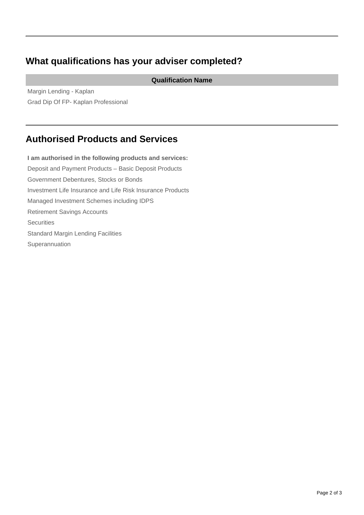# **What qualifications has your adviser completed?**

**Qualification Name**

Margin Lending - Kaplan Grad Dip Of FP- Kaplan Professional

## **Authorised Products and Services**

**I am authorised in the following products and services:** Deposit and Payment Products – Basic Deposit Products Government Debentures, Stocks or Bonds Investment Life Insurance and Life Risk Insurance Products Managed Investment Schemes including IDPS Retirement Savings Accounts **Securities** Standard Margin Lending Facilities Superannuation